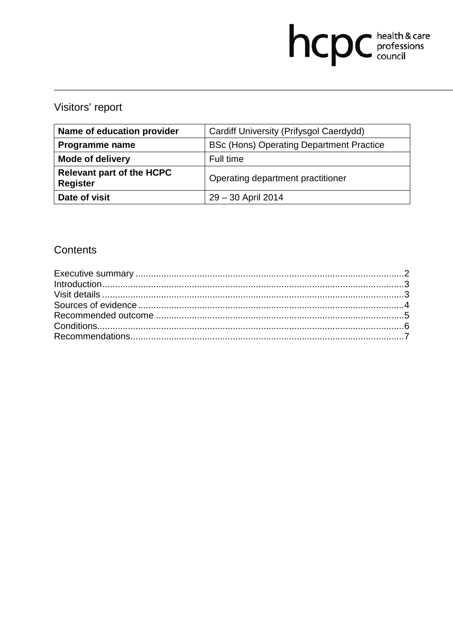# hcpc health & care

## Visitors' report

| Name of education provider                          | Cardiff University (Prifysgol Caerdydd)         |
|-----------------------------------------------------|-------------------------------------------------|
| Programme name                                      | <b>BSc (Hons) Operating Department Practice</b> |
| <b>Mode of delivery</b>                             | Full time                                       |
| <b>Relevant part of the HCPC</b><br><b>Register</b> | Operating department practitioner               |
| Date of visit                                       | 29 - 30 April 2014                              |

### **Contents**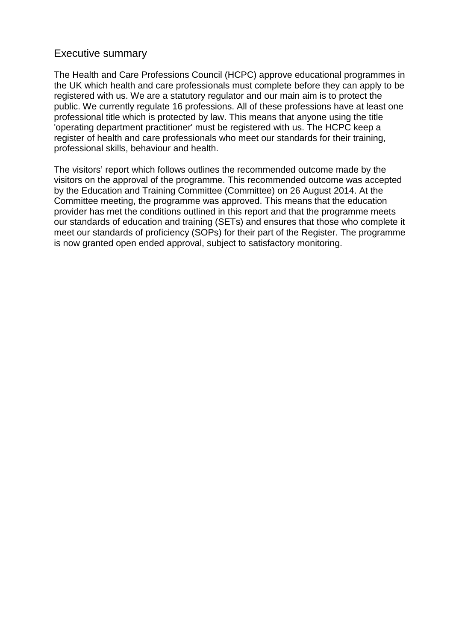#### Executive summary

The Health and Care Professions Council (HCPC) approve educational programmes in the UK which health and care professionals must complete before they can apply to be registered with us. We are a statutory regulator and our main aim is to protect the public. We currently regulate 16 professions. All of these professions have at least one professional title which is protected by law. This means that anyone using the title 'operating department practitioner' must be registered with us. The HCPC keep a register of health and care professionals who meet our standards for their training, professional skills, behaviour and health.

The visitors' report which follows outlines the recommended outcome made by the visitors on the approval of the programme. This recommended outcome was accepted by the Education and Training Committee (Committee) on 26 August 2014. At the Committee meeting, the programme was approved. This means that the education provider has met the conditions outlined in this report and that the programme meets our standards of education and training (SETs) and ensures that those who complete it meet our standards of proficiency (SOPs) for their part of the Register. The programme is now granted open ended approval, subject to satisfactory monitoring.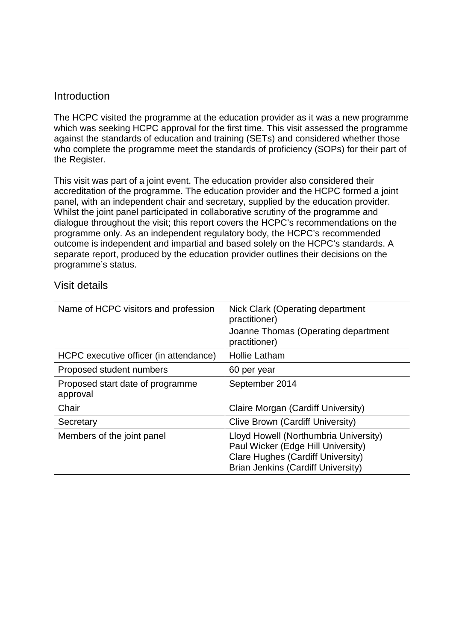#### **Introduction**

The HCPC visited the programme at the education provider as it was a new programme which was seeking HCPC approval for the first time. This visit assessed the programme against the standards of education and training (SETs) and considered whether those who complete the programme meet the standards of proficiency (SOPs) for their part of the Register.

This visit was part of a joint event. The education provider also considered their accreditation of the programme. The education provider and the HCPC formed a joint panel, with an independent chair and secretary, supplied by the education provider. Whilst the joint panel participated in collaborative scrutiny of the programme and dialogue throughout the visit; this report covers the HCPC's recommendations on the programme only. As an independent regulatory body, the HCPC's recommended outcome is independent and impartial and based solely on the HCPC's standards. A separate report, produced by the education provider outlines their decisions on the programme's status.

| Name of HCPC visitors and profession         | Nick Clark (Operating department<br>practitioner)<br>Joanne Thomas (Operating department<br>practitioner)                                                            |
|----------------------------------------------|----------------------------------------------------------------------------------------------------------------------------------------------------------------------|
| HCPC executive officer (in attendance)       | <b>Hollie Latham</b>                                                                                                                                                 |
| Proposed student numbers                     | 60 per year                                                                                                                                                          |
| Proposed start date of programme<br>approval | September 2014                                                                                                                                                       |
| Chair                                        | Claire Morgan (Cardiff University)                                                                                                                                   |
| Secretary                                    | Clive Brown (Cardiff University)                                                                                                                                     |
| Members of the joint panel                   | Lloyd Howell (Northumbria University)<br>Paul Wicker (Edge Hill University)<br><b>Clare Hughes (Cardiff University)</b><br><b>Brian Jenkins (Cardiff University)</b> |

#### Visit details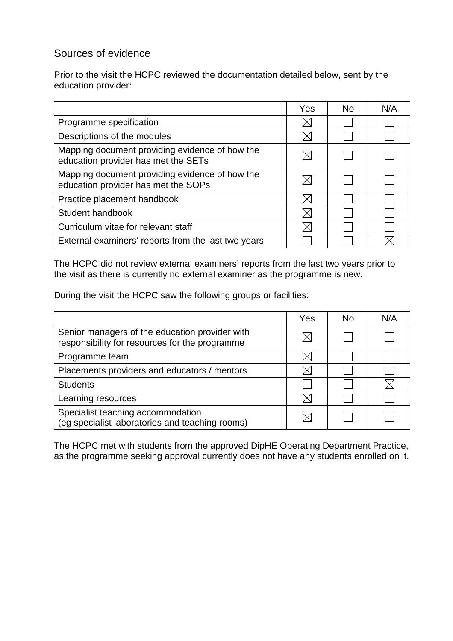#### Sources of evidence

Prior to the visit the HCPC reviewed the documentation detailed below, sent by the education provider:

|                                                                                       | Yes | No. | N/A |
|---------------------------------------------------------------------------------------|-----|-----|-----|
| Programme specification                                                               |     |     |     |
| Descriptions of the modules                                                           |     |     |     |
| Mapping document providing evidence of how the<br>education provider has met the SETs |     |     |     |
| Mapping document providing evidence of how the<br>education provider has met the SOPs |     |     |     |
| Practice placement handbook                                                           |     |     |     |
| Student handbook                                                                      |     |     |     |
| Curriculum vitae for relevant staff                                                   |     |     |     |
| External examiners' reports from the last two years                                   |     |     |     |

The HCPC did not review external examiners' reports from the last two years prior to the visit as there is currently no external examiner as the programme is new.

During the visit the HCPC saw the following groups or facilities:

|                                                                                                  | Yes | <b>No</b> | N/A |
|--------------------------------------------------------------------------------------------------|-----|-----------|-----|
| Senior managers of the education provider with<br>responsibility for resources for the programme |     |           |     |
| Programme team                                                                                   |     |           |     |
| Placements providers and educators / mentors                                                     |     |           |     |
| <b>Students</b>                                                                                  |     |           |     |
| Learning resources                                                                               |     |           |     |
| Specialist teaching accommodation<br>(eg specialist laboratories and teaching rooms)             |     |           |     |

The HCPC met with students from the approved DipHE Operating Department Practice, as the programme seeking approval currently does not have any students enrolled on it.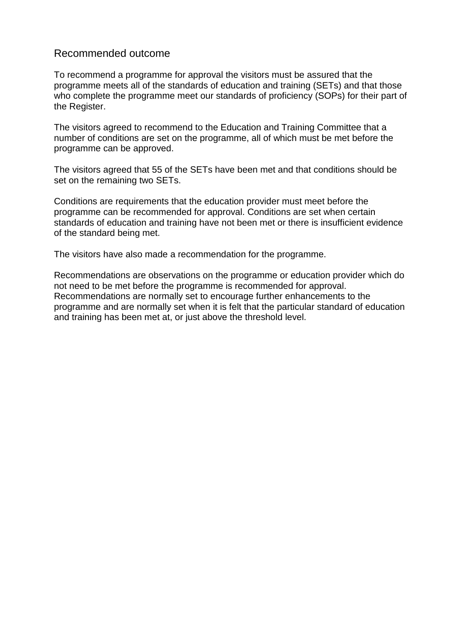#### Recommended outcome

To recommend a programme for approval the visitors must be assured that the programme meets all of the standards of education and training (SETs) and that those who complete the programme meet our standards of proficiency (SOPs) for their part of the Register.

The visitors agreed to recommend to the Education and Training Committee that a number of conditions are set on the programme, all of which must be met before the programme can be approved.

The visitors agreed that 55 of the SETs have been met and that conditions should be set on the remaining two SETs.

Conditions are requirements that the education provider must meet before the programme can be recommended for approval. Conditions are set when certain standards of education and training have not been met or there is insufficient evidence of the standard being met.

The visitors have also made a recommendation for the programme.

Recommendations are observations on the programme or education provider which do not need to be met before the programme is recommended for approval. Recommendations are normally set to encourage further enhancements to the programme and are normally set when it is felt that the particular standard of education and training has been met at, or just above the threshold level.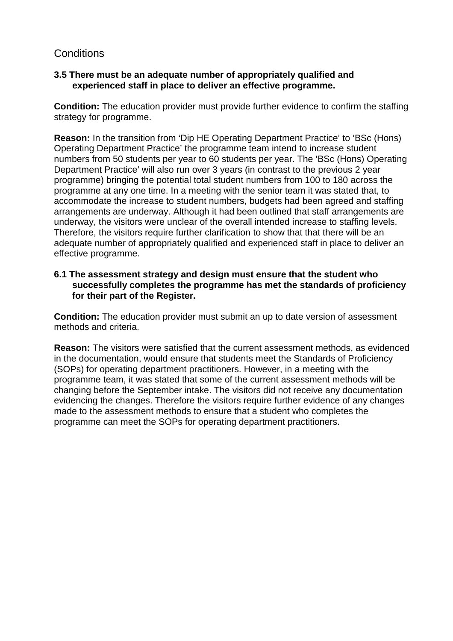#### **Conditions**

#### **3.5 There must be an adequate number of appropriately qualified and experienced staff in place to deliver an effective programme.**

**Condition:** The education provider must provide further evidence to confirm the staffing strategy for programme.

**Reason:** In the transition from 'Dip HE Operating Department Practice' to 'BSc (Hons) Operating Department Practice' the programme team intend to increase student numbers from 50 students per year to 60 students per year. The 'BSc (Hons) Operating Department Practice' will also run over 3 years (in contrast to the previous 2 year programme) bringing the potential total student numbers from 100 to 180 across the programme at any one time. In a meeting with the senior team it was stated that, to accommodate the increase to student numbers, budgets had been agreed and staffing arrangements are underway. Although it had been outlined that staff arrangements are underway, the visitors were unclear of the overall intended increase to staffing levels. Therefore, the visitors require further clarification to show that that there will be an adequate number of appropriately qualified and experienced staff in place to deliver an effective programme.

#### **6.1 The assessment strategy and design must ensure that the student who successfully completes the programme has met the standards of proficiency for their part of the Register.**

**Condition:** The education provider must submit an up to date version of assessment methods and criteria.

**Reason:** The visitors were satisfied that the current assessment methods, as evidenced in the documentation, would ensure that students meet the Standards of Proficiency (SOPs) for operating department practitioners. However, in a meeting with the programme team, it was stated that some of the current assessment methods will be changing before the September intake. The visitors did not receive any documentation evidencing the changes. Therefore the visitors require further evidence of any changes made to the assessment methods to ensure that a student who completes the programme can meet the SOPs for operating department practitioners.